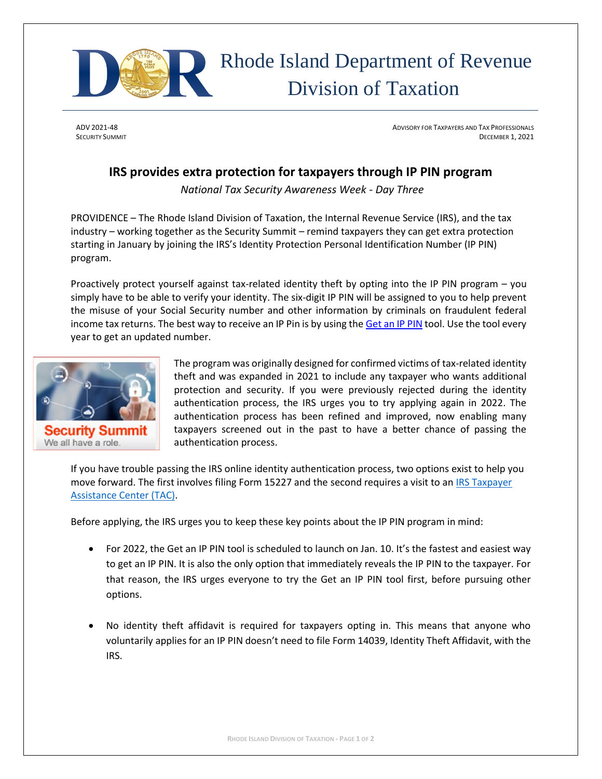

## Rhode Island Department of Revenue Division of Taxation

ADV 2021-48 ADVISORY FOR TAXPAYERS AND TAX PROFESSIONALS SECURITY SUMMIT DECEMBER 1, 2021

## **IRS provides extra protection for taxpayers through IP PIN program**

*National Tax Security Awareness Week - Day Three*

PROVIDENCE – The Rhode Island Division of Taxation, the Internal Revenue Service (IRS), and the tax industry – working together as the Security Summit – remind taxpayers they can get extra protection starting in January by joining the IRS's Identity Protection Personal Identification Number (IP PIN) program.

Proactively protect yourself against tax-related identity theft by opting into the IP PIN program – you simply have to be able to verify your identity. The six-digit IP PIN will be assigned to you to help prevent the misuse of your Social Security number and other information by criminals on fraudulent federal income tax returns. The best way to receive an IP Pin is by using the [Get an IP PIN](http://www.irs.gov/identity-theft-fraud-scams/get-an-identity-protection-pin) tool. Use the tool every year to get an updated number.



Security Summi We all have a role.

The program was originally designed for confirmed victims of tax-related identity theft and was expanded in 2021 to include any taxpayer who wants additional protection and security. If you were previously rejected during the identity authentication process, the IRS urges you to try applying again in 2022. The authentication process has been refined and improved, now enabling many taxpayers screened out in the past to have a better chance of passing the authentication process.

If you have trouble passing the IRS online identity authentication process, two options exist to help you move forward. The first involves filing Form 15227 and the second requires a visit to a[n IRS Taxpayer](https://www.irs.gov/help/contact-your-local-irs-office)  [Assistance Center \(TAC\).](https://www.irs.gov/help/contact-your-local-irs-office)

Before applying, the IRS urges you to keep these key points about the IP PIN program in mind:

- For 2022, the Get an IP PIN tool is scheduled to launch on Jan. 10. It's the fastest and easiest way to get an IP PIN. It is also the only option that immediately reveals the IP PIN to the taxpayer. For that reason, the IRS urges everyone to try the Get an IP PIN tool first, before pursuing other options.
- No identity theft affidavit is required for taxpayers opting in. This means that anyone who voluntarily applies for an IP PIN doesn't need to file Form 14039, Identity Theft Affidavit, with the IRS.